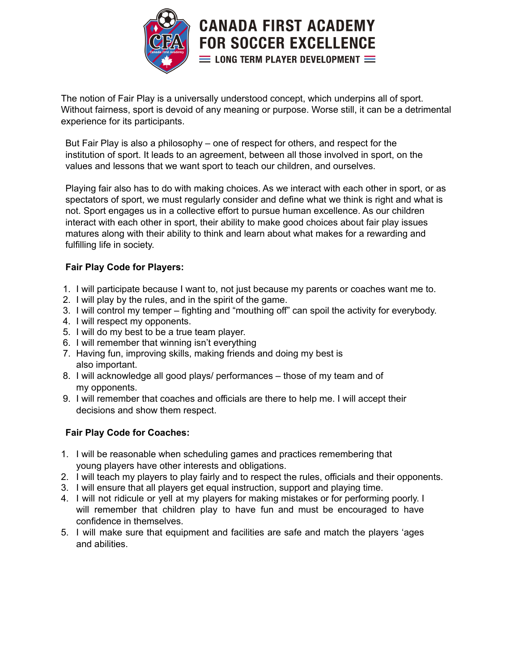

The notion of Fair Play is a universally understood concept, which underpins all of sport. Without fairness, sport is devoid of any meaning or purpose. Worse still, it can be a detrimental experience for its participants.

But Fair Play is also a philosophy – one of respect for others, and respect for the institution of sport. It leads to an agreement, between all those involved in sport, on the values and lessons that we want sport to teach our children, and ourselves.

Playing fair also has to do with making choices. As we interact with each other in sport, or as spectators of sport, we must regularly consider and define what we think is right and what is not. Sport engages us in a collective effort to pursue human excellence. As our children interact with each other in sport, their ability to make good choices about fair play issues matures along with their ability to think and learn about what makes for a rewarding and fulfilling life in society.

## **Fair Play Code for Players:**

- 1. I will participate because I want to, not just because my parents or coaches want me to.
- 2. I will play by the rules, and in the spirit of the game.
- 3. I will control my temper fighting and "mouthing off" can spoil the activity for everybody.
- 4. I will respect my opponents.
- 5. I will do my best to be a true team player.
- 6. I will remember that winning isn't everything
- 7. Having fun, improving skills, making friends and doing my best is also important.
- 8. I will acknowledge all good plays/ performances those of my team and of my opponents.
- 9. I will remember that coaches and officials are there to help me. I will accept their decisions and show them respect.

## **Fair Play Code for Coaches:**

- 1. I will be reasonable when scheduling games and practices remembering that young players have other interests and obligations.
- 2. I will teach my players to play fairly and to respect the rules, officials and their opponents.
- 3. I will ensure that all players get equal instruction, support and playing time.
- 4. I will not ridicule or yell at my players for making mistakes or for performing poorly. I will remember that children play to have fun and must be encouraged to have confidence in themselves.
- 5. I will make sure that equipment and facilities are safe and match the players 'ages and abilities.